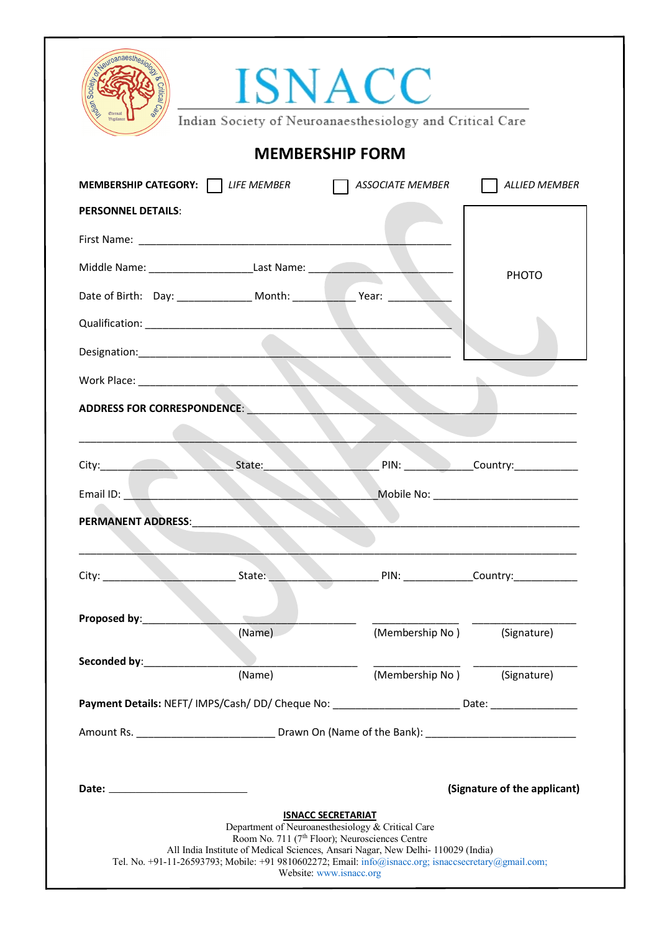|                                                                                                                                   | <b>MEMBERSHIP FORM</b>                                                                               |                             |                                                                                                                                                                                                                                                                                |
|-----------------------------------------------------------------------------------------------------------------------------------|------------------------------------------------------------------------------------------------------|-----------------------------|--------------------------------------------------------------------------------------------------------------------------------------------------------------------------------------------------------------------------------------------------------------------------------|
|                                                                                                                                   |                                                                                                      |                             |                                                                                                                                                                                                                                                                                |
| <b>MEMBERSHIP CATEGORY:</b> LIFE MEMBER                                                                                           |                                                                                                      | ASSOCIATE MEMBER            | <b>ALLIED MEMBER</b>                                                                                                                                                                                                                                                           |
| <b>PERSONNEL DETAILS:</b>                                                                                                         |                                                                                                      |                             |                                                                                                                                                                                                                                                                                |
|                                                                                                                                   |                                                                                                      |                             |                                                                                                                                                                                                                                                                                |
|                                                                                                                                   | Middle Name: ___________________________________Last Name: _____________________                     |                             | <b>PHOTO</b>                                                                                                                                                                                                                                                                   |
|                                                                                                                                   |                                                                                                      |                             |                                                                                                                                                                                                                                                                                |
| Qualification: National Contract of Contract of Contract of Contract of Contract of Contract of Contract of Co                    |                                                                                                      |                             |                                                                                                                                                                                                                                                                                |
| Designation: Designation:                                                                                                         |                                                                                                      |                             |                                                                                                                                                                                                                                                                                |
|                                                                                                                                   |                                                                                                      |                             |                                                                                                                                                                                                                                                                                |
|                                                                                                                                   |                                                                                                      |                             | PIN: ________________Country:_______________<br>Mobile No: Note and the Mobile Note and the Mobile Note and the Mobile Annual Action of the Mobile Annual Action of the Mobile Action of the Mobile Action of the Mobile Action of the Mobile Action of the Mobile Action of t |
|                                                                                                                                   |                                                                                                      |                             |                                                                                                                                                                                                                                                                                |
| <b>ADDRESS FOR CORRESPONDENCE:</b><br>City: State:<br>Email ID: North American Section 1986<br><b>PERMANENT ADDRESS:</b><br>City: | State:                                                                                               |                             |                                                                                                                                                                                                                                                                                |
|                                                                                                                                   |                                                                                                      |                             |                                                                                                                                                                                                                                                                                |
|                                                                                                                                   | $\mathcal{L}_{\text{max}}$<br>(Name)                                                                 | (Membership No) (Signature) |                                                                                                                                                                                                                                                                                |
| Proposed by:<br>Seconded by: _________________                                                                                    |                                                                                                      |                             |                                                                                                                                                                                                                                                                                |
|                                                                                                                                   | (Name)                                                                                               | (Membership No) (Signature) |                                                                                                                                                                                                                                                                                |
|                                                                                                                                   | Payment Details: NEFT/IMPS/Cash/DD/Cheque No: _________________________Date: _______________________ |                             |                                                                                                                                                                                                                                                                                |
|                                                                                                                                   |                                                                                                      |                             |                                                                                                                                                                                                                                                                                |
|                                                                                                                                   |                                                                                                      |                             |                                                                                                                                                                                                                                                                                |